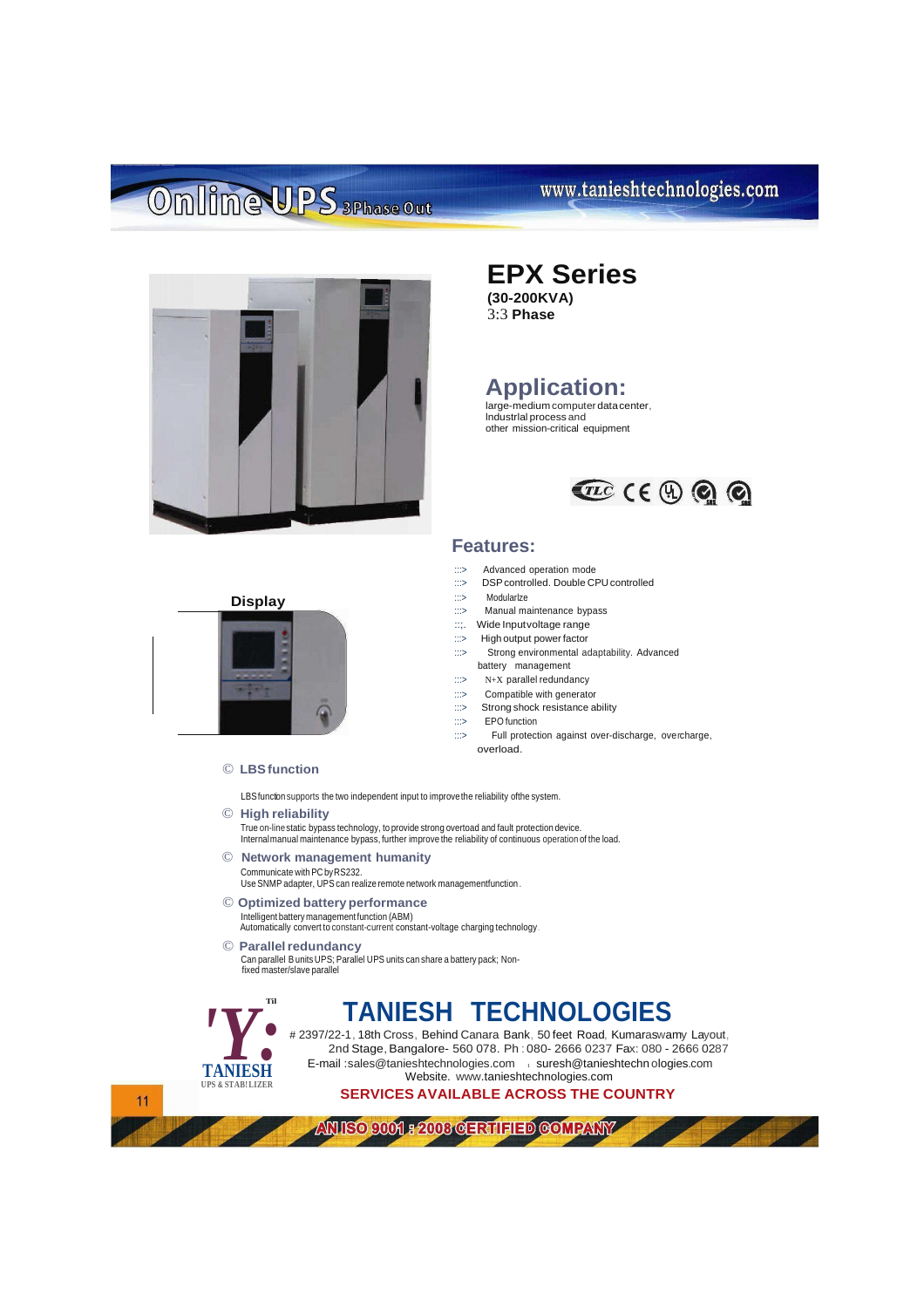## Online UPS 3Phase Out

### www.tanieshtechnologies.com



## **EPX Series**

**(30-200KVA)** 3:3 **Phase**

### **Application:**

large-medium computer datacenter, lndustrlal process and other mission-critical equipment



#### **Features:**

- :::> Advanced operation mode<br>:::> DSP controlled. Double C
- DSP controlled. Double CPU controlled
- :::> Modularlze
- :::> Manual maintenance bypass
- ::;. Wide Inputvoltage range
- :::> High output power factor
- :::> Strong environmental adaptability. Advanced battery management
- :::> N+X parallel redundancy
- :::> Compatible with generator
- :::> Strong shock resistance ability
- :::> EPO function
- :::> Full protection against over-discharge, overcharge, overload.

**Display**

© **LBSfunction**

LBS function supports the two independent input to improve the reliability ofthe system.

- © **High reliability** True on-line static bypass technology, to provide strong overtoad and fault protection device.<br>Internalmanual maintenance bypass, further improve the reliability of continuous operation of the load.
- © **Network management humanity** Communicate with PC by RS232. Use SNMP adapter, UPS can realize remote network managementfunction.
- © **Optimized batteryperformance**

Intelligent battery management function (ABM) Automatically convert to constant-current constant-voltage charging technology.

#### © **Parallelredundancy**

Can parallel B units UPS; Parallel UPS units can share a battery pack; Nonfixed master/slave parallel



## **TANIESH TECHNOLOGIES**

# 2397/22-1, 18th Cross, Behind Canara Bank, 50 feet Road, Kumaraswamy Layout, 2nd Stage, Bangalore- 560 078. Ph : 080- 2666 0237 Fax: 080 - 2666 0287 E-mail [:sales@tanieshtechnologies.com](mailto:sales@tanieshtechnologies.com) isuresh@tanieshtechn ologies.com Website. [www.tanieshtechnologies.com](http://www.tanieshtechnologies.com/)

**SERVICES AVAILABLE ACROSS THE COUNTRY**

**ANISO 9001 - 2003 CERTIFIED COMPANY** 

 $11$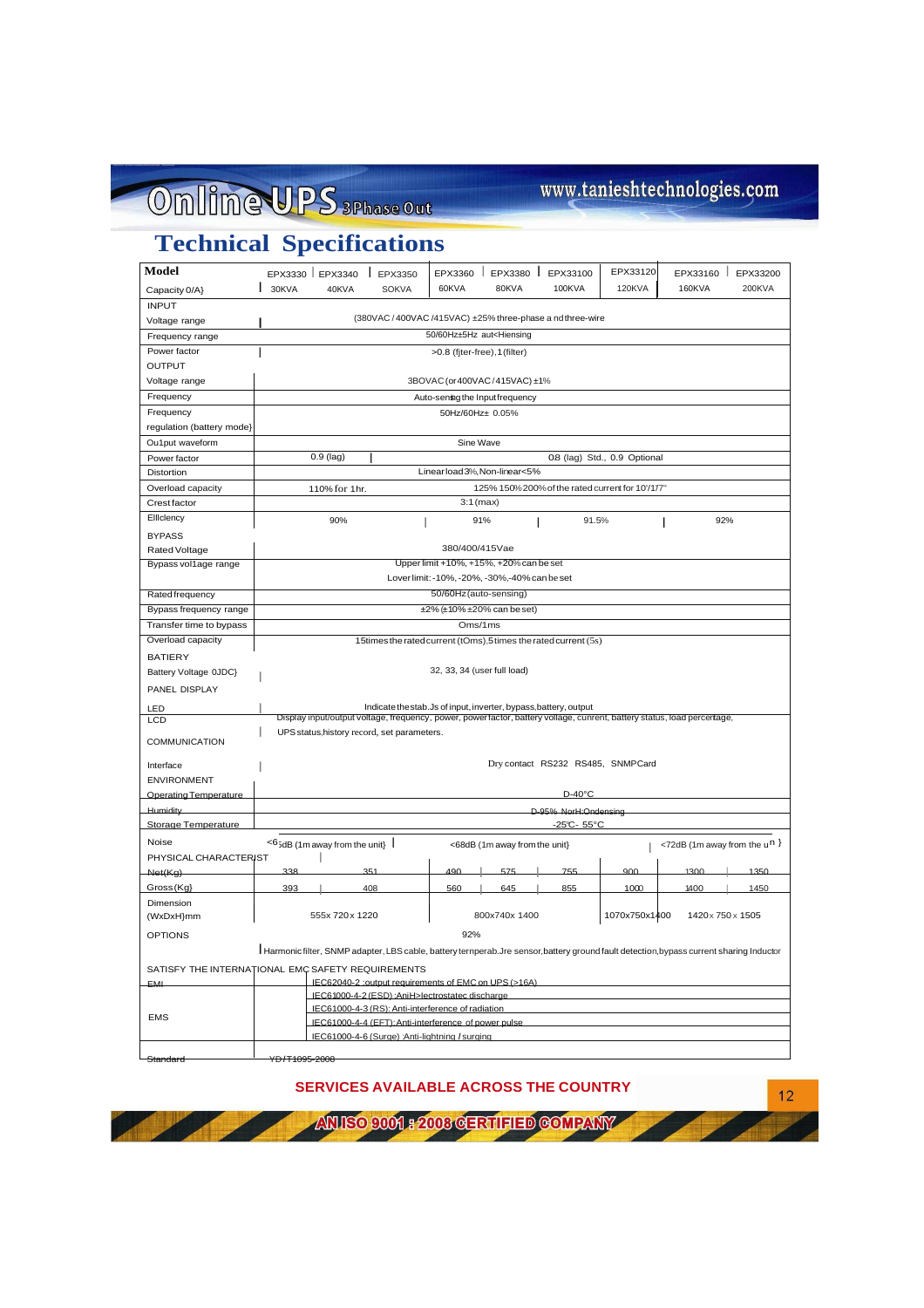# Online UPS 3Phase Out

## www.tanieshtechnologies.com

 $12$ 

## **Technical Specifications**

| Model                                                                                                                                   |                                                                                                                         | EPX3330 EPX3340 | $E$ PX3350   | EPX3360 | $\mathbf{I}$                  | EPX3380   EPX33100 | EPX33120 | EPX33160                          | EPX33200 |  |
|-----------------------------------------------------------------------------------------------------------------------------------------|-------------------------------------------------------------------------------------------------------------------------|-----------------|--------------|---------|-------------------------------|--------------------|----------|-----------------------------------|----------|--|
| Capacity 0/A}                                                                                                                           | $\frac{1}{30KVA}$                                                                                                       | 40KVA           | <b>SOKVA</b> | 60KVA   | 80KVA                         | 100KVA             | 120KVA   | 160KVA                            | 200KVA   |  |
| <b>INPUT</b>                                                                                                                            |                                                                                                                         |                 |              |         |                               |                    |          |                                   |          |  |
| Voltage range                                                                                                                           | (380VAC / 400VAC /415VAC) ±25% three-phase a nd three-wire                                                              |                 |              |         |                               |                    |          |                                   |          |  |
| 50/60Hz±5Hz aut <hiensing<br>Frequency range</hiensing<br>                                                                              |                                                                                                                         |                 |              |         |                               |                    |          |                                   |          |  |
| Power factor<br>>0.8 (fiter-free), 1 (filter)                                                                                           |                                                                                                                         |                 |              |         |                               |                    |          |                                   |          |  |
| <b>OUTPUT</b>                                                                                                                           |                                                                                                                         |                 |              |         |                               |                    |          |                                   |          |  |
| Voltage range                                                                                                                           | 3BOVAC (or 400VAC / 415VAC) ±1%                                                                                         |                 |              |         |                               |                    |          |                                   |          |  |
| Frequency                                                                                                                               | Auto-sening the Input frequency                                                                                         |                 |              |         |                               |                    |          |                                   |          |  |
| Frequency                                                                                                                               | 50Hz/60Hz± 0.05%                                                                                                        |                 |              |         |                               |                    |          |                                   |          |  |
| regulation (battery mode)                                                                                                               |                                                                                                                         |                 |              |         |                               |                    |          |                                   |          |  |
| Ou1put waveform                                                                                                                         | Sine Wave                                                                                                               |                 |              |         |                               |                    |          |                                   |          |  |
| Power factor                                                                                                                            | $0.9$ (lag)<br>08 (lag) Std., 0.9 Optional                                                                              |                 |              |         |                               |                    |          |                                   |          |  |
| <b>Distortion</b>                                                                                                                       | Linear load 3%, Non-linear<5%                                                                                           |                 |              |         |                               |                    |          |                                   |          |  |
| Overload capacity                                                                                                                       | 125% 150% 200% of the rated current for 10'/1/7"<br>110% for 1hr.                                                       |                 |              |         |                               |                    |          |                                   |          |  |
| <b>Crestfactor</b>                                                                                                                      | $3:1$ (max)                                                                                                             |                 |              |         |                               |                    |          |                                   |          |  |
| Elliclency                                                                                                                              |                                                                                                                         | 90%             |              |         | 91%                           | 91.5%              |          | 92%                               |          |  |
| <b>BYPASS</b>                                                                                                                           |                                                                                                                         |                 |              |         | I                             |                    |          |                                   |          |  |
| 380/400/415Vae<br>Rated Voltage                                                                                                         |                                                                                                                         |                 |              |         |                               |                    |          |                                   |          |  |
| Bypass vol1age range                                                                                                                    | Upper limit +10%, +15%, +20% can be set                                                                                 |                 |              |         |                               |                    |          |                                   |          |  |
|                                                                                                                                         |                                                                                                                         |                 |              |         |                               |                    |          |                                   |          |  |
|                                                                                                                                         | Lover limit: -10%, -20%, -30%,-40% can be set                                                                           |                 |              |         |                               |                    |          |                                   |          |  |
| Rated frequency                                                                                                                         | 50/60Hz (auto-sensing)                                                                                                  |                 |              |         |                               |                    |          |                                   |          |  |
| Bypass frequency range                                                                                                                  | $\pm 2\%$ ( $\pm 10\%$ $\pm 20\%$ can be set)                                                                           |                 |              |         |                               |                    |          |                                   |          |  |
| Transfer time to bypass                                                                                                                 | Oms/1ms                                                                                                                 |                 |              |         |                               |                    |          |                                   |          |  |
| Overload capacity<br>15times the rated current (tOms),5times the rated current (5s)                                                     |                                                                                                                         |                 |              |         |                               |                    |          |                                   |          |  |
| <b>BATIERY</b>                                                                                                                          |                                                                                                                         |                 |              |         |                               |                    |          |                                   |          |  |
| Battery Voltage 0JDC}                                                                                                                   | 32, 33, 34 (user full load)                                                                                             |                 |              |         |                               |                    |          |                                   |          |  |
| PANEL DISPLAY                                                                                                                           |                                                                                                                         |                 |              |         |                               |                    |          |                                   |          |  |
| LED                                                                                                                                     | Indicate thestab.Js of input, inverter, bypass, battery, output                                                         |                 |              |         |                               |                    |          |                                   |          |  |
| LCD                                                                                                                                     | Display input/output voltage, frequency, power, powerfactor, battery vollage, cunrent, battery status, load percertage, |                 |              |         |                               |                    |          |                                   |          |  |
|                                                                                                                                         | UPS status, history record, set parameters.                                                                             |                 |              |         |                               |                    |          |                                   |          |  |
| <b>COMMUNICATION</b>                                                                                                                    |                                                                                                                         |                 |              |         |                               |                    |          |                                   |          |  |
| Interface                                                                                                                               | Dry contact RS232 RS485, SNMPCard                                                                                       |                 |              |         |                               |                    |          |                                   |          |  |
| <b>ENVIRONMENT</b>                                                                                                                      |                                                                                                                         |                 |              |         |                               |                    |          |                                   |          |  |
| Operating Temperature                                                                                                                   | $D-40^{\circ}C$                                                                                                         |                 |              |         |                               |                    |          |                                   |          |  |
| Humidity                                                                                                                                | D-95% NorH:Ondensing                                                                                                    |                 |              |         |                               |                    |          |                                   |          |  |
| Storage Temperature                                                                                                                     | -25°C- 55°C                                                                                                             |                 |              |         |                               |                    |          |                                   |          |  |
| Noise                                                                                                                                   | $<$ 6 <sub>5dB</sub> (1m away from the unit) $\vert$                                                                    |                 |              |         |                               |                    |          |                                   |          |  |
|                                                                                                                                         |                                                                                                                         |                 |              |         | <68dB (1m away from the unit) |                    |          | <72dB (1m away from the $u^{n}$ ) |          |  |
| PHYSICAL CHARACTERIST                                                                                                                   | 338                                                                                                                     |                 | 351          | 490     | 575                           | 755                | 900      | 1300                              | 1350     |  |
| Net(Kg)                                                                                                                                 | 393                                                                                                                     |                 | 408          |         | 645                           |                    |          |                                   |          |  |
| Gross (Kg)                                                                                                                              |                                                                                                                         |                 |              | 560     |                               | 855                | 1000     | 1400                              | 1450     |  |
| Dimension                                                                                                                               |                                                                                                                         | 555x 720x 1220  |              |         | 800x740x 1400                 |                    |          |                                   |          |  |
| (WxDxH}mm                                                                                                                               | 1070x750x1400<br>1420x750x1505                                                                                          |                 |              |         |                               |                    |          |                                   |          |  |
| <b>OPTIONS</b>                                                                                                                          |                                                                                                                         |                 |              | 92%     |                               |                    |          |                                   |          |  |
| Harmonic filter, SNMP adapter, LBS cable, battery ternperab.Jre sensor, battery ground fault detection, bypass current sharing Inductor |                                                                                                                         |                 |              |         |                               |                    |          |                                   |          |  |
| SATISFY THE INTERNATIONAL EMC SAFETY REQUIREMENTS                                                                                       |                                                                                                                         |                 |              |         |                               |                    |          |                                   |          |  |
| <b>EMI</b>                                                                                                                              | IEC62040-2 :output requirements of EMC on UPS (>16A)                                                                    |                 |              |         |                               |                    |          |                                   |          |  |
|                                                                                                                                         | IEC61000-4-2 (ESD) :AniH>lectrostatec discharge                                                                         |                 |              |         |                               |                    |          |                                   |          |  |
| <b>EMS</b>                                                                                                                              | IEC61000-4-3 (RS): Anti-interference of radiation<br>IEC61000-4-4 (EFT): Anti-interference of power pulse.              |                 |              |         |                               |                    |          |                                   |          |  |
|                                                                                                                                         |                                                                                                                         |                 |              |         |                               |                    |          |                                   |          |  |
|                                                                                                                                         | IEC61000-4-6 (Surge) :Anti-lightning /surging                                                                           |                 |              |         |                               |                    |          |                                   |          |  |
| Standard                                                                                                                                | YD /T1095-2008                                                                                                          |                 |              |         |                               |                    |          |                                   |          |  |

**SERVICES AVAILABLE ACROSS THE COUNTRY**

ANISO COOL 2008 CERTIFIED COMPANY